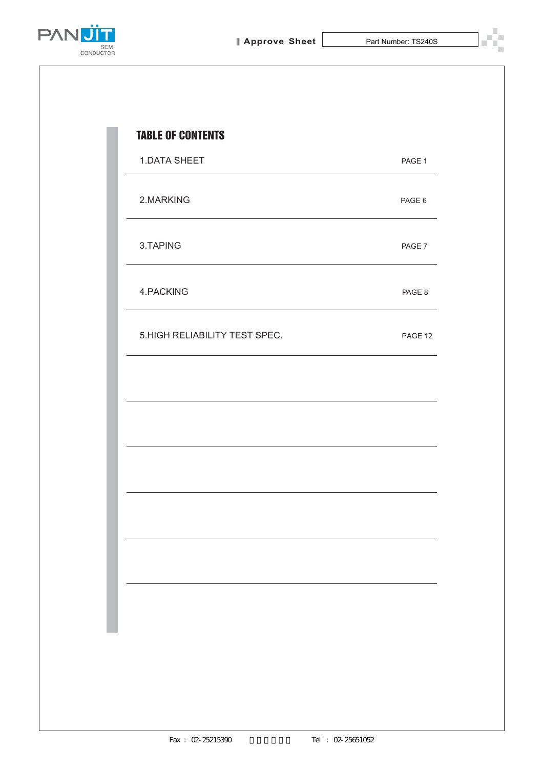

T.



| <b>1.DATA SHEET</b>           | PAGE 1  |
|-------------------------------|---------|
| 2.MARKING                     | PAGE 6  |
| 3.TAPING                      | PAGE 7  |
| 4.PACKING                     | PAGE 8  |
| 5.HIGH RELIABILITY TEST SPEC. | PAGE 12 |
|                               |         |
|                               |         |
|                               |         |
|                               |         |
|                               |         |
|                               |         |
|                               |         |
|                               |         |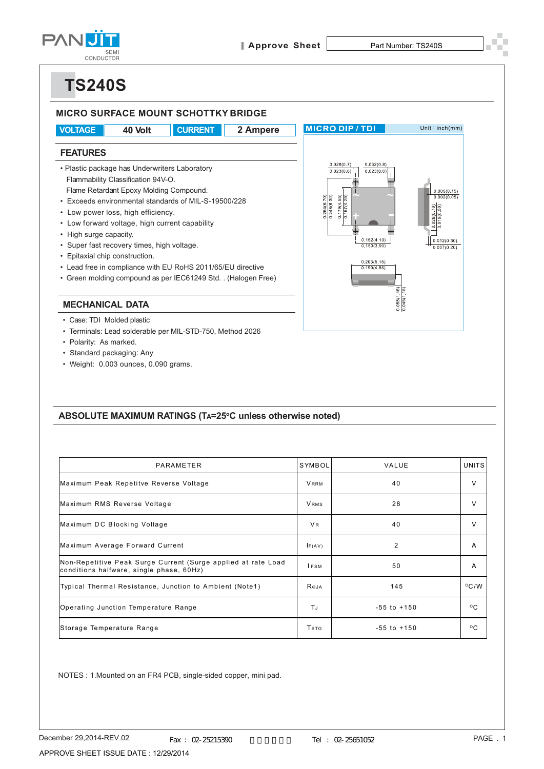

# **TS240S**



#### ABSOLUTE MAXIMUM RATINGS (TA=25°C unless otherwise noted)

| PARAMETER                                                                                                 | SYMBOL                              | VALUE           | <b>UNITS</b>   |
|-----------------------------------------------------------------------------------------------------------|-------------------------------------|-----------------|----------------|
| Maximum Peak Repetitve Reverse Voltage                                                                    | <b>VRRM</b>                         | 40              | $\vee$         |
| Maximum RMS Reverse Voltage                                                                               | <b>VRMS</b>                         | 28              | $\vee$         |
| Maximum DC Blocking Voltage                                                                               | <b>VR</b>                           | 40              | $\vee$         |
| Maximum Average Forward Current                                                                           | IF(AV)                              | $\overline{2}$  | A              |
| Non-Repetitive Peak Surge Current (Surge applied at rate Load<br>conditions halfware, single phase, 60Hz) | <b>IFSM</b>                         | 50              | A              |
| Typical Thermal Resistance, Junction to Ambient (Note1)                                                   | $R_{\Theta,IA}$                     | 145             | $^{\circ}$ C/W |
| Operating Junction Temperature Range                                                                      | ΤJ                                  | $-55$ to $+150$ | $^{\circ}$ C   |
| Storage Temperature Range                                                                                 | <b>T</b> <sub>S</sub> <sub>TG</sub> | $-55$ to $+150$ | $^{\circ}$ C   |

NOTES : 1.Mounted on an FR4 PCB, single-sided copper, mini pad.

• Weight: 0.003 ounces, 0.090 grams.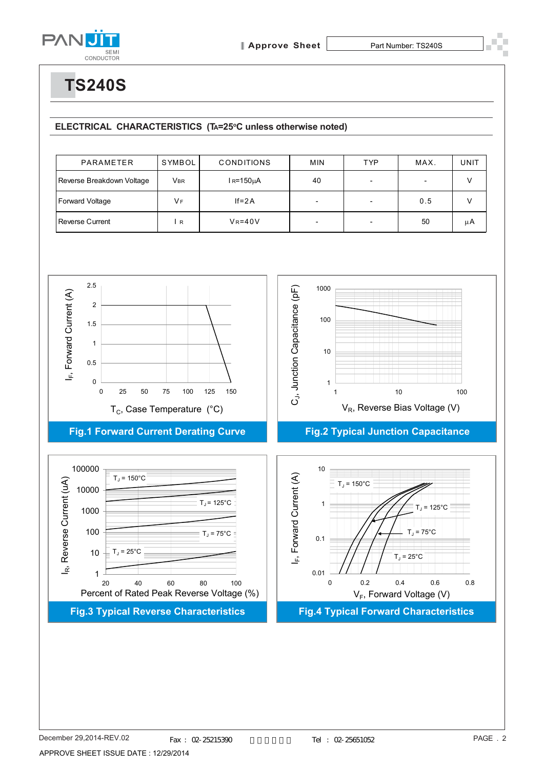

**TS240S**

#### ELECTRICAL CHARACTERISTICS (TA=25°C unless otherwise noted)

| PARAMETER                 | SYMBOL         | <b>CONDITIONS</b> | <b>MIN</b>               | <b>TYP</b> | MAX. | UNIT |
|---------------------------|----------------|-------------------|--------------------------|------------|------|------|
| Reverse Breakdown Voltage | Vbr            | l R=150µA         | 40                       |            |      |      |
| Forward Voltage           | V <sub>F</sub> | $If=2A$           | $\overline{\phantom{0}}$ |            | 0.5  |      |
| Reverse Current           | $\mathsf{R}$   | $V_R = 40V$       | $\overline{\phantom{0}}$ |            | 50   | μA   |

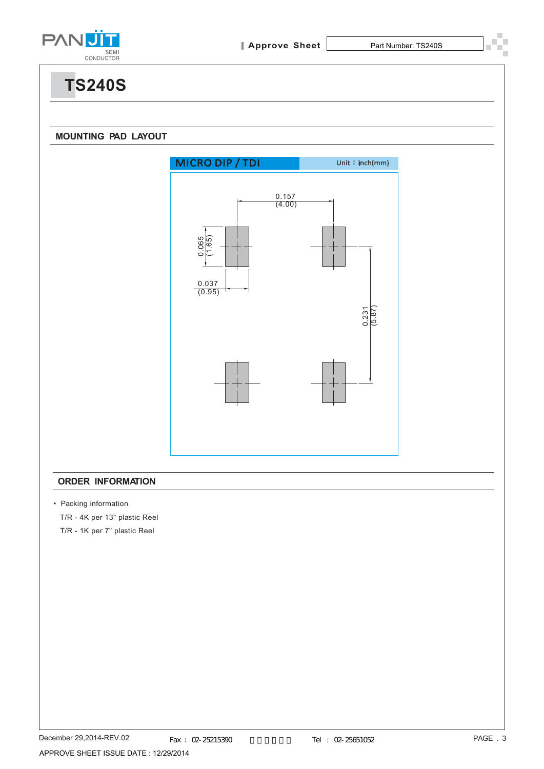

**TS240S**

#### **MOUNTING PAD LAYOUT**



#### **ORDER INFORMATION**

• Packing information

T/R - 4K per 13" plastic Reel

T/R - 1K per 7" plastic Reel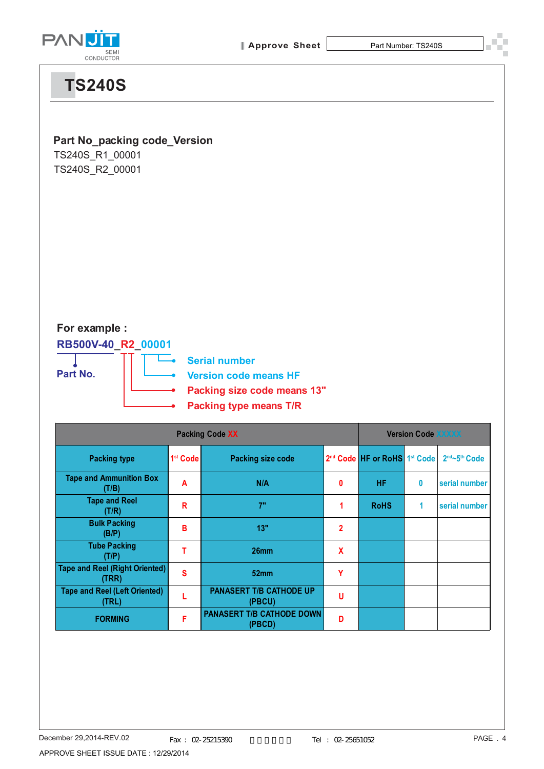

# **TS240S**

### **Part No\_packing code\_Version**

TS240S\_R1\_00001 TS240S\_R2\_00001

**For example :**

**RB500V-40\_R2\_00001 Part No.**

**Serial number Version code means HF Packing size code means 13"**

**Packing type means T/R**

|                                                |                      | <b>Version Code XXXXX</b>                  |                |                                                      |   |               |
|------------------------------------------------|----------------------|--------------------------------------------|----------------|------------------------------------------------------|---|---------------|
| <b>Packing type</b>                            | 1 <sup>st</sup> Code | <b>Packing size code</b>                   |                | 2 <sup>nd</sup> Code HF or RoHS 1 <sup>st</sup> Code |   | 2nd~5th Code  |
| <b>Tape and Ammunition Box</b><br>(T/B)        | A                    | N/A                                        | 0              | <b>HF</b>                                            | 0 | serial number |
| <b>Tape and Reel</b><br>(T/R)                  | R                    | 7"                                         | 1              | <b>RoHS</b>                                          | 1 | serial number |
| <b>Bulk Packing</b><br>(B/P)                   | в                    | 13"                                        | $\overline{2}$ |                                                      |   |               |
| <b>Tube Packing</b><br>(T/P)                   |                      | 26 <sub>mm</sub>                           | X              |                                                      |   |               |
| <b>Tape and Reel (Right Oriented)</b><br>(TRR) | S                    | 52mm                                       | Υ              |                                                      |   |               |
| <b>Tape and Reel (Left Oriented)</b><br>(TRL)  |                      | <b>PANASERT T/B CATHODE UP</b><br>(PBCU)   | U              |                                                      |   |               |
| <b>FORMING</b>                                 | F                    | <b>PANASERT T/B CATHODE DOWN</b><br>(PBCD) | D              |                                                      |   |               |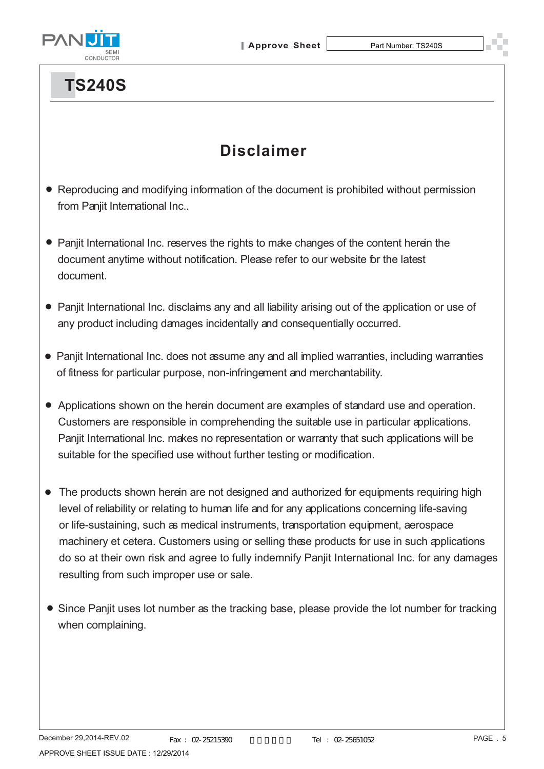



# **TS240S**

## **Disclaimer**

- Reproducing and modifying information of the document is prohibited without permission from Panjit International Inc..
- Panjit International Inc. reserves the rights to make changes of the content herein the document anytime without notification. Please refer to our website for the latest document.
- Panjit International Inc. disclaims any and all liability arising out of the application or use of any product including damages incidentally and consequentially occurred.
- Panjit International Inc. does not assume any and all implied warranties, including warranties of fitness for particular purpose, non-infringement and merchantability.
- Applications shown on the herein document are examples of standard use and operation. Customers are responsible in comprehending the suitable use in particular applications. Panjit International Inc. makes no representation or warranty that such applications will be suitable for the specified use without further testing or modification.
- The products shown herein are not designed and authorized for equipments requiring high level of reliability or relating to human life and for any applications concerning life-saving or life-sustaining, such as medical instruments, transportation equipment, aerospace machinery et cetera. Customers using or selling these products for use in such applications do so at their own risk and agree to fully indemnify Panjit International Inc. for any damages resulting from such improper use or sale.
- Since Panjit uses lot number as the tracking base, please provide the lot number for tracking when complaining.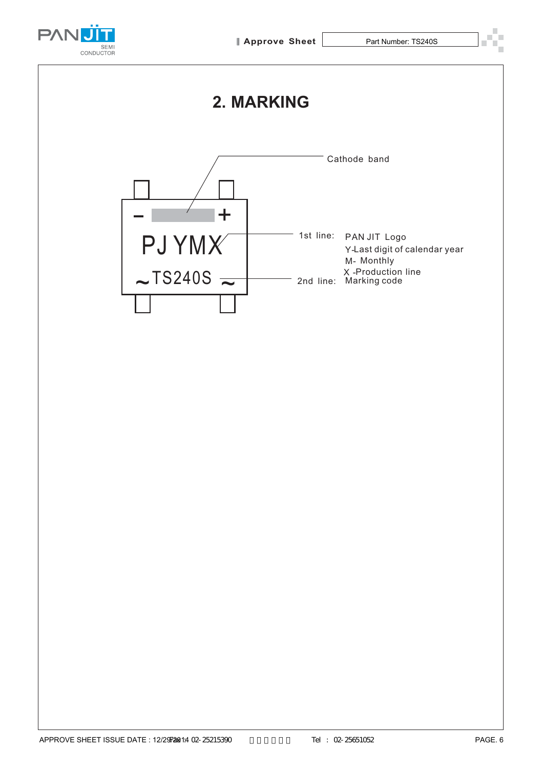

## **2. MARKING**

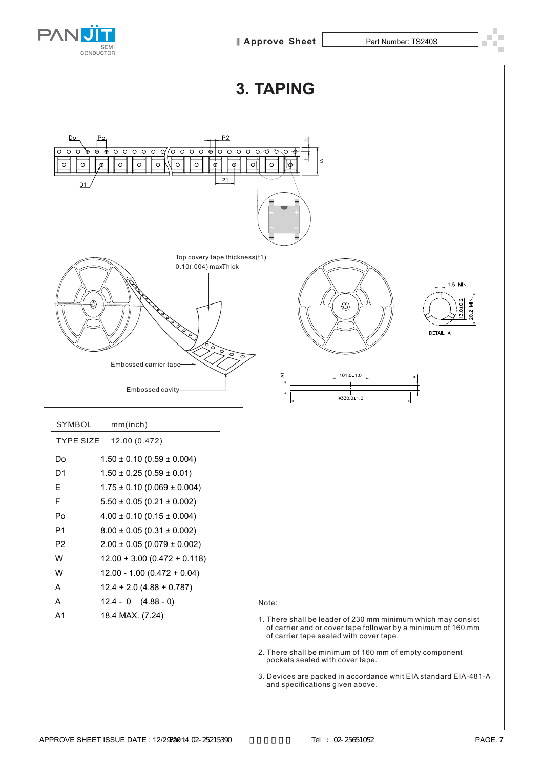

**3. TAPING**



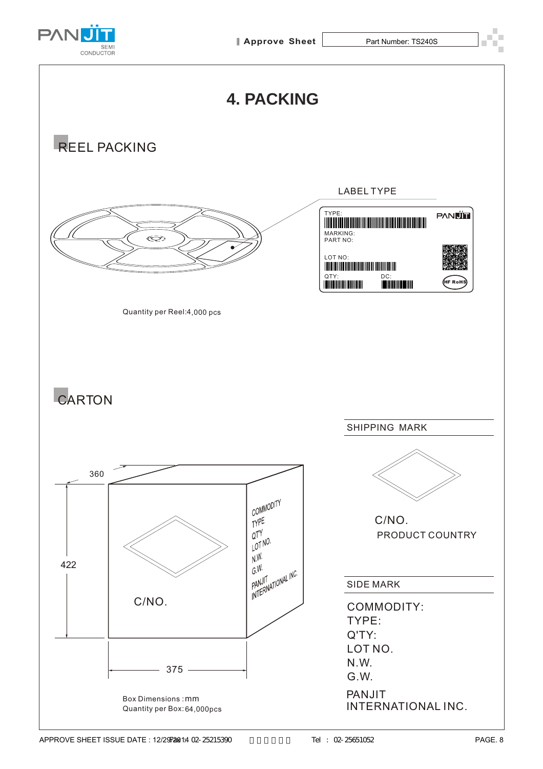

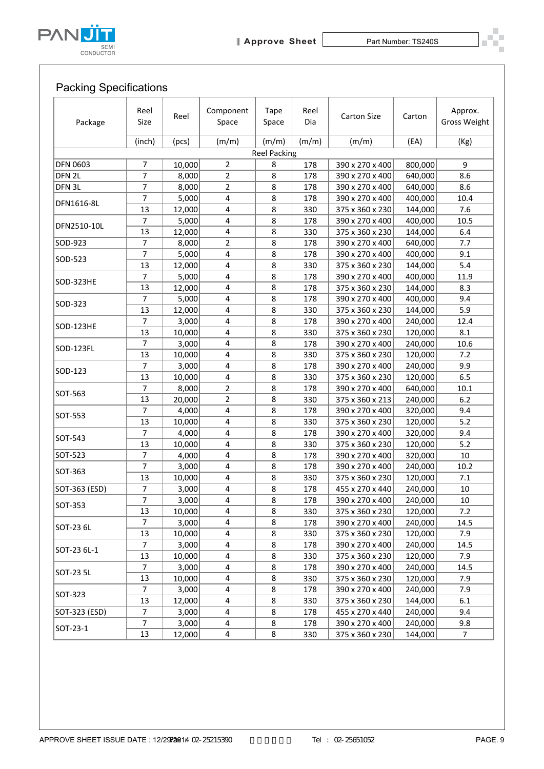



## Packing Specifications

| Package           | Reel<br>Size        | Reel            | Component<br>Space  | <b>Tape</b><br>Space | Reel<br>Dia | <b>Carton Size</b>                 | Carton             | Approx.<br><b>Gross Weight</b> |
|-------------------|---------------------|-----------------|---------------------|----------------------|-------------|------------------------------------|--------------------|--------------------------------|
|                   | (inch)              | (pcs)           | (m/m)               | (m/m)                | (m/m)       | (m/m)                              | (EA)               | (Kg)                           |
|                   |                     |                 |                     | <b>Reel Packing</b>  |             |                                    |                    |                                |
| <b>DFN 0603</b>   | $\overline{7}$      | 10,000          | $\overline{2}$      | 8                    | 178         | 390 x 270 x 400                    | 800,000            | 9                              |
| DFN <sub>2L</sub> | 7                   | 8,000           | $\overline{2}$      | 8                    | 178         | 390 x 270 x 400                    | 640,000            | 8.6                            |
| DFN 3L            | 7                   | 8,000           | $\overline{2}$      | 8                    | 178         | 390 x 270 x 400                    | 640,000            | 8.6                            |
| DFN1616-8L        | 7                   | 5,000           | 4                   | 8                    | 178         | 390 x 270 x 400                    | 400,000            | 10.4                           |
|                   | 13                  | 12,000          | 4                   | 8                    | 330         | 375 x 360 x 230                    | 144,000            | 7.6                            |
| DFN2510-10L       | 7                   | 5,000           | 4                   | 8                    | 178         | 390 x 270 x 400                    | 400,000            | 10.5                           |
| SOD-923           | 13<br>7             | 12,000<br>8,000 | 4<br>$\overline{2}$ | 8<br>8               | 330<br>178  | 375 x 360 x 230<br>390 x 270 x 400 | 144,000<br>640,000 | 6.4<br>7.7                     |
|                   | $\overline{7}$      | 5,000           | 4                   | 8                    | 178         | 390 x 270 x 400                    | 400,000            | 9.1                            |
| SOD-523           | 13                  | 12,000          | 4                   | 8                    | 330         | 375 x 360 x 230                    | 144,000            | 5.4                            |
|                   | 7                   | 5,000           | 4                   | 8                    | 178         | 390 x 270 x 400                    | 400,000            | 11.9                           |
| SOD-323HE         | 13                  | 12,000          | 4                   | 8                    | 178         | 375 x 360 x 230                    | 144,000            | 8.3                            |
|                   | $\overline{7}$      | 5,000           | 4                   | 8                    | 178         | 390 x 270 x 400                    | 400,000            | 9.4                            |
| SOD-323           | 13                  | 12,000          | 4                   | 8                    | 330         | 375 x 360 x 230                    | 144,000            | 5.9                            |
|                   | $\overline{7}$      | 3,000           | 4                   | 8                    | 178         | 390 x 270 x 400                    | 240,000            | 12.4                           |
| SOD-123HE         | 13                  | 10,000          | 4                   | 8                    | 330         | 375 x 360 x 230                    | 120,000            | 8.1                            |
|                   | $\overline{7}$      | 3,000           | 4                   | 8                    | 178         | 390 x 270 x 400                    | 240,000            | 10.6                           |
| SOD-123FL         | 13                  | 10,000          | 4                   | 8                    | 330         | 375 x 360 x 230                    | 120,000            | 7.2                            |
| SOD-123           | $\overline{7}$      | 3,000           | 4                   | 8                    | 178         | 390 x 270 x 400                    | 240,000            | 9.9                            |
|                   | 13                  | 10,000          | 4                   | 8                    | 330         | 375 x 360 x 230                    | 120,000            | 6.5                            |
| SOT-563           | $\overline{7}$      | 8,000           | $\overline{2}$      | 8                    | 178         | 390 x 270 x 400                    | 640,000            | 10.1                           |
|                   | 13                  | 20,000          | 2                   | 8                    | 330         | 375 x 360 x 213                    | 240,000            | 6.2                            |
| SOT-553           | 7                   | 4,000           | 4                   | 8                    | 178         | 390 x 270 x 400                    | 320,000            | 9.4                            |
|                   | 13                  | 10,000          | 4                   | 8                    | 330         | 375 x 360 x 230                    | 120,000            | 5.2                            |
| SOT-543           | 7                   | 4,000           | 4                   | 8                    | 178         | 390 x 270 x 400                    | 320,000            | 9.4                            |
|                   | 13                  | 10,000          | 4                   | 8                    | 330         | 375 x 360 x 230                    | 120,000            | 5.2                            |
| SOT-523           | 7                   | 4,000           | 4                   | 8                    | 178         | 390 x 270 x 400                    | 320,000            | 10                             |
| SOT-363           | $\overline{7}$      | 3,000           | 4                   | 8                    | 178         | 390 x 270 x 400                    | 240,000            | 10.2                           |
|                   | 13                  | 10,000          | 4                   | 8                    | 330         | 375 x 360 x 230                    | 120,000<br>240,000 | 7.1                            |
| SOT-363 (ESD)     | $\overline{7}$<br>7 | 3,000<br>3,000  | 4<br>4              | 8<br>8               | 178<br>178  | 455 x 270 x 440<br>390 x 270 x 400 | 240,000            | 10<br>10                       |
| SOT-353           | 13                  | 10,000          | 4                   | 8                    | 330         | 375 x 360 x 230                    | 120,000            | 7.2                            |
|                   | $\overline{7}$      | 3,000           | 4                   | 8                    | 178         | 390 x 270 x 400                    | 240,000            | 14.5                           |
| SOT-23 6L         | 13                  | 10,000          | 4                   | 8                    | 330         | 375 x 360 x 230                    | 120,000            | 7.9                            |
|                   | 7                   | 3,000           | 4                   | 8                    | 178         | 390 x 270 x 400                    | 240,000            | 14.5                           |
| SOT-23 6L-1       | 13                  | 10,000          | 4                   | 8                    | 330         | 375 x 360 x 230                    | 120,000            | 7.9                            |
|                   | 7                   | 3,000           | 4                   | 8                    | 178         | 390 x 270 x 400                    | 240,000            | 14.5                           |
| SOT-23 5L         | 13                  | 10,000          | 4                   | 8                    | 330         | 375 x 360 x 230                    | 120,000            | 7.9                            |
|                   | 7                   | 3,000           | 4                   | 8                    | 178         | 390 x 270 x 400                    | 240,000            | 7.9                            |
| SOT-323           | 13                  | 12,000          | 4                   | 8                    | 330         | 375 x 360 x 230                    | 144,000            | 6.1                            |
| SOT-323 (ESD)     | 7                   | 3,000           | 4                   | 8                    | 178         | 455 x 270 x 440                    | 240,000            | 9.4                            |
| SOT-23-1          | $\overline{7}$      | 3,000           | 4                   | 8                    | 178         | 390 x 270 x 400                    | 240,000            | 9.8                            |
|                   | 13                  | 12,000          | 4                   | 8                    | 330         | 375 x 360 x 230                    | 144,000            | $\overline{7}$                 |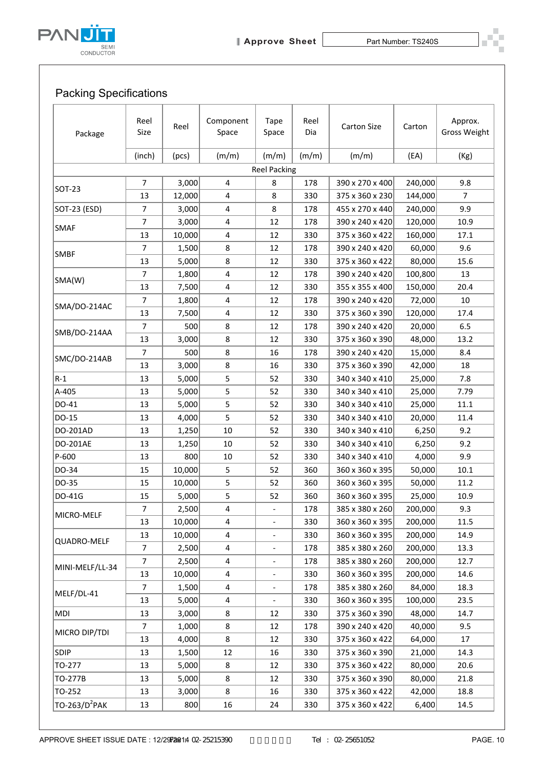

## Packing Specifications

| <b>Packing Specifications</b> |                |        |                         |                          |             |                    |         |                                |
|-------------------------------|----------------|--------|-------------------------|--------------------------|-------------|--------------------|---------|--------------------------------|
| Package                       | Reel<br>Size   | Reel   | Component<br>Space      | <b>Tape</b><br>Space     | Reel<br>Dia | <b>Carton Size</b> | Carton  | Approx.<br><b>Gross Weight</b> |
|                               | (inch)         | (pcs)  | (m/m)                   | (m/m)                    | (m/m)       | (m/m)              | (EA)    | (Kg)                           |
|                               |                |        |                         | <b>Reel Packing</b>      |             |                    |         |                                |
|                               | $\overline{7}$ | 3,000  | 4                       | 8                        | 178         | 390 x 270 x 400    | 240,000 | 9.8                            |
| SOT-23                        | 13             | 12,000 | 4                       | 8                        | 330         | 375 x 360 x 230    | 144,000 | $\overline{7}$                 |
| SOT-23 (ESD)                  | $\overline{7}$ | 3,000  | 4                       | 8                        | 178         | 455 x 270 x 440    | 240,000 | 9.9                            |
|                               | 7              | 3,000  | 4                       | 12                       | 178         | 390 x 240 x 420    | 120,000 | 10.9                           |
| <b>SMAF</b>                   | 13             | 10,000 | 4                       | 12                       | 330         | 375 x 360 x 422    | 160,000 | 17.1                           |
|                               | 7              | 1,500  | 8                       | 12                       | 178         | 390 x 240 x 420    | 60,000  | 9.6                            |
| <b>SMBF</b>                   | 13             | 5,000  | 8                       | 12                       | 330         | 375 x 360 x 422    | 80,000  | 15.6                           |
|                               | $\overline{7}$ | 1,800  | 4                       | 12                       | 178         | 390 x 240 x 420    | 100,800 | 13                             |
| SMA(W)                        | 13             | 7,500  | $\overline{\mathbf{4}}$ | 12                       | 330         | 355 x 355 x 400    | 150,000 | 20.4                           |
|                               | 7              | 1,800  | 4                       | 12                       | 178         | 390 x 240 x 420    | 72,000  | 10                             |
| SMA/DO-214AC                  | 13             | 7,500  | 4                       | 12                       | 330         | 375 x 360 x 390    | 120,000 | 17.4                           |
|                               | $\overline{7}$ | 500    | 8                       | 12                       | 178         | 390 x 240 x 420    | 20,000  | 6.5                            |
| SMB/DO-214AA                  | 13             | 3,000  | 8                       | 12                       | 330         | 375 x 360 x 390    | 48,000  | 13.2                           |
|                               | 7              | 500    | 8                       | 16                       | 178         | 390 x 240 x 420    | 15,000  | 8.4                            |
| SMC/DO-214AB                  | 13             | 3,000  | 8                       | 16                       | 330         | 375 x 360 x 390    | 42,000  | 18                             |
| $R-1$                         | 13             | 5,000  | 5                       | 52                       | 330         | 340 x 340 x 410    | 25,000  | 7.8                            |
| A-405                         | 13             | 5,000  | 5                       | 52                       | 330         | 340 x 340 x 410    | 25,000  | 7.79                           |
| DO-41                         | 13             | 5,000  | 5                       | 52                       | 330         | 340 x 340 x 410    | 25,000  | 11.1                           |
| DO-15                         | 13             | 4,000  | 5                       | 52                       | 330         | 340 x 340 x 410    | 20,000  | 11.4                           |
| DO-201AD                      | 13             | 1,250  | 10                      | 52                       | 330         | 340 x 340 x 410    | 6,250   | 9.2                            |
| DO-201AE                      | 13             | 1,250  | 10                      | 52                       | 330         | 340 x 340 x 410    | 6,250   | 9.2                            |
| P-600                         | 13             | 800    | 10                      | 52                       | 330         | 340 x 340 x 410    | 4,000   | 9.9                            |
| DO-34                         | 15             | 10,000 | 5                       | 52                       | 360         | 360 x 360 x 395    | 50,000  | $10.1\,$                       |
| DO-35                         | 15             | 10,000 | 5                       | 52                       | 360         | 360 x 360 x 395    | 50,000  | 11.2                           |
| DO-41G                        | 15             | 5,000  | 5                       | 52                       | 360         | 360 x 360 x 395    | 25,000  | 10.9                           |
|                               | $\overline{7}$ | 2,500  | 4                       |                          | 178         | 385 x 380 x 260    | 200,000 | 9.3                            |
| MICRO-MELF                    | 13             | 10,000 | $\overline{\mathbf{4}}$ |                          | 330         | 360 x 360 x 395    | 200,000 | 11.5                           |
|                               | 13             | 10,000 | 4                       | $\overline{\phantom{a}}$ | 330         | 360 x 360 x 395    | 200,000 | 14.9                           |
| QUADRO-MELF                   | 7              | 2,500  | 4                       |                          | 178         | 385 x 380 x 260    | 200,000 | 13.3                           |
|                               | $\overline{7}$ | 2,500  | $\overline{\mathbf{4}}$ | $\qquad \qquad -$        | 178         | 385 x 380 x 260    | 200,000 | 12.7                           |
| MINI-MELF/LL-34               | 13             | 10,000 | 4                       | $\overline{\phantom{0}}$ | 330         | 360 x 360 x 395    | 200,000 | 14.6                           |
|                               | $\overline{7}$ | 1,500  | $\overline{\mathbf{4}}$ |                          | 178         | 385 x 380 x 260    | 84,000  | 18.3                           |
| MELF/DL-41                    | 13             | 5,000  | 4                       | $\overline{\phantom{a}}$ | 330         | 360 x 360 x 395    | 100,000 | 23.5                           |
| MDI                           | 13             | 3,000  | 8                       | 12                       | 330         | 375 x 360 x 390    | 48,000  | 14.7                           |
|                               | $\overline{7}$ | 1,000  | 8                       | 12                       | 178         | 390 x 240 x 420    | 40,000  | 9.5                            |
| MICRO DIP/TDI                 | 13             | 4,000  | 8                       | 12                       | 330         | 375 x 360 x 422    | 64,000  | 17                             |
| SDIP                          | 13             | 1,500  | 12                      | 16                       | 330         | 375 x 360 x 390    | 21,000  | 14.3                           |
| TO-277                        | 13             | 5,000  | 8                       | 12                       | 330         | 375 x 360 x 422    | 80,000  | 20.6                           |
| TO-277B                       | 13             | 5,000  | 8                       | 12                       | 330         | 375 x 360 x 390    | 80,000  | 21.8                           |
| TO-252                        | 13             | 3,000  | 8                       | 16                       | 330         | 375 x 360 x 422    | 42,000  | 18.8                           |
| TO-263/D <sup>2</sup> PAK     | 13             | 800    | 16                      | 24                       | 330         | 375 x 360 x 422    | 6,400   | 14.5                           |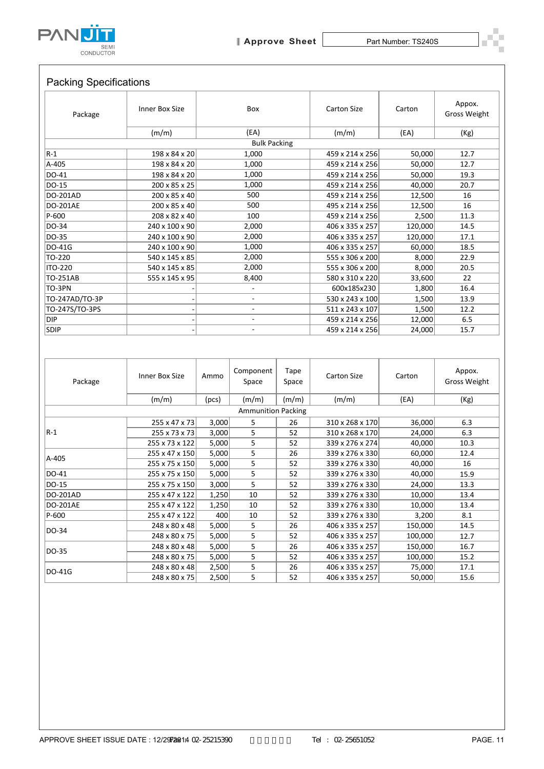

| Package                                                | Inner Box Size                 |                | Box                                |               | <b>Carton Size</b>                 | Carton            | Appox.<br><b>Gross Weight</b> |
|--------------------------------------------------------|--------------------------------|----------------|------------------------------------|---------------|------------------------------------|-------------------|-------------------------------|
|                                                        | (m/m)                          |                | (EA)                               |               | (m/m)                              | (EA)              | (Kg)                          |
|                                                        |                                |                | <b>Bulk Packing</b>                |               |                                    |                   |                               |
| $R-1$                                                  | 198 x 84 x 20                  | 1,000          |                                    |               | 459 x 214 x 256                    | 50,000            | 12.7                          |
| A-405                                                  | 198 x 84 x 20                  |                | 1,000                              |               | 459 x 214 x 256                    | 50,000            | 12.7                          |
| DO-41                                                  | 198 x 84 x 20                  |                | 1,000                              |               | 459 x 214 x 256                    | 50,000            | 19.3                          |
| DO-15<br>DO-201AD                                      | 200 x 85 x 25                  |                | 1,000<br>500                       |               | 459 x 214 x 256<br>459 x 214 x 256 | 40,000            | 20.7<br>16                    |
| <b>DO-201AE</b>                                        | 200 x 85 x 40<br>200 x 85 x 40 |                | 500                                |               | 495 x 214 x 256                    | 12,500<br>12,500  | 16                            |
| P-600                                                  | 208 x 82 x 40                  |                | 100                                |               | 459 x 214 x 256                    | 2,500             | 11.3                          |
| DO-34                                                  | 240 x 100 x 90                 |                | 2,000                              |               | 406 x 335 x 257                    | 120,000           | 14.5                          |
| DO-35                                                  | 240 x 100 x 90                 |                | 2,000                              |               | 406 x 335 x 257                    | 120,000           | 17.1                          |
| DO-41G                                                 | 240 x 100 x 90                 |                | 1,000                              |               | 406 x 335 x 257                    | 60,000            | 18.5                          |
| TO-220                                                 | 540 x 145 x 85                 |                | 2,000                              |               | 555 x 306 x 200                    | 8,000             | 22.9                          |
| <b>ITO-220</b>                                         | 540 x 145 x 85                 |                | 2,000                              |               | 555 x 306 x 200                    | 8,000             | 20.5                          |
| TO-251AB                                               | 555 x 145 x 95                 |                | 8,400                              |               | 580 x 310 x 220                    | 33,600            | 22                            |
| TO-3PN                                                 |                                |                | $\overline{\phantom{a}}$           |               | 600x185x230                        | 1,800             | 16.4                          |
| TO-247AD/TO-3P                                         |                                |                | $\overline{\phantom{a}}$           |               | 530 x 243 x 100                    | 1,500             | 13.9                          |
| TO-247S/TO-3PS                                         |                                |                | $\overline{\phantom{a}}$           |               | 511 x 243 x 107                    | 1,500             | 12.2                          |
| DIP<br><b>SDIP</b>                                     |                                |                | $\overline{\phantom{a}}$<br>÷.     |               | 459 x 214 x 256<br>459 x 214 x 256 | 12,000<br>24,000  | 6.5<br>15.7                   |
|                                                        |                                |                |                                    |               |                                    |                   |                               |
| Package                                                | Inner Box Size                 | Ammo           | Component<br>Space                 | Tape<br>Space | <b>Carton Size</b>                 | Carton            | Appox.<br><b>Gross Weight</b> |
|                                                        | (m/m)                          | (pcs)          | (m/m)<br><b>Ammunition Packing</b> | (m/m)         | (m/m)                              | (EA)              | (Kg)                          |
|                                                        | 255 x 47 x 73                  | 3,000          | 5                                  | 26            | 310 x 268 x 170                    | 36,000            | 6.3                           |
|                                                        |                                | 3,000          | 5                                  | 52            | 310 x 268 x 170                    | 24,000            | 6.3                           |
| $R-1$                                                  | 255 x 73 x 73                  |                |                                    |               |                                    |                   |                               |
|                                                        | 255 x 73 x 122                 | 5,000          | 5                                  | 52            | 339 x 276 x 274                    | 40,000            | 10.3                          |
|                                                        | 255 x 47 x 150                 | 5,000          | 5                                  | 26            | 339 x 276 x 330                    | 60,000            | 12.4                          |
| A-405                                                  | 255 x 75 x 150                 | 5,000          | 5                                  | 52            | 339 x 276 x 330                    | 40,000            | 16                            |
|                                                        | 255 x 75 x 150                 | 5,000          | 5                                  | 52            | 339 x 276 x 330                    | 40,000            | 15.9                          |
| DO-41<br>DO-15                                         | 255 x 75 x 150                 | 3,000          | 5                                  | 52            | 339 x 276 x 330                    | 24,000            | 13.3                          |
|                                                        | 255 x 47 x 122                 | 1,250          | 10                                 | 52            | 339 x 276 x 330                    | 10,000            | 13.4                          |
|                                                        | 255 x 47 x 122                 | 1,250          | 10                                 | 52            | 339 x 276 x 330                    | 10,000            | 13.4                          |
|                                                        | 255 x 47 x 122                 | 400            | 10                                 | 52            | 339 x 276 x 330                    | 3,200             | 8.1                           |
|                                                        | 248 x 80 x 48                  | 5,000          | 5                                  | 26            | 406 x 335 x 257                    | 150,000           | 14.5                          |
|                                                        | 248 x 80 x 75                  | 5,000          | 5                                  | 52            | 406 x 335 x 257                    | 100,000           | 12.7                          |
| DO-201AD<br><b>DO-201AE</b><br>P-600<br>DO-34<br>DO-35 | 248 x 80 x 48                  | 5,000          | 5                                  | 26            | 406 x 335 x 257                    | 150,000           | 16.7                          |
| DO-41G                                                 | 248 x 80 x 75<br>248 x 80 x 48 | 5,000<br>2,500 | 5<br>5                             | 52<br>26      | 406 x 335 x 257<br>406 x 335 x 257 | 100,000<br>75,000 | 15.2<br>17.1                  |

| Package                   | Inner Box Size | Ammo  | Component<br>Space | Tape<br>Space | <b>Carton Size</b> | Carton  | Appox.<br><b>Gross Weight</b> |
|---------------------------|----------------|-------|--------------------|---------------|--------------------|---------|-------------------------------|
|                           | (m/m)          | (pcs) | (m/m)              | (m/m)         | (m/m)              | (EA)    | (Kg)                          |
| <b>Ammunition Packing</b> |                |       |                    |               |                    |         |                               |
|                           | 255 x 47 x 73  | 3,000 | 5                  | 26            | 310 x 268 x 170    | 36,000  | 6.3                           |
| $R-1$                     | 255 x 73 x 73  | 3,000 | 5                  | 52            | 310 x 268 x 170    | 24,000  | 6.3                           |
|                           | 255 x 73 x 122 | 5,000 | 5                  | 52            | 339 x 276 x 274    | 40,000  | 10.3                          |
| A-405                     | 255 x 47 x 150 | 5,000 | 5                  | 26            | 339 x 276 x 330    | 60,000  | 12.4                          |
|                           | 255 x 75 x 150 | 5,000 | 5                  | 52            | 339 x 276 x 330    | 40,000  | 16                            |
| DO-41                     | 255 x 75 x 150 | 5,000 | 5                  | 52            | 339 x 276 x 330    | 40,000  | 15.9                          |
| DO-15                     | 255 x 75 x 150 | 3,000 | 5                  | 52            | 339 x 276 x 330    | 24,000  | 13.3                          |
| DO-201AD                  | 255 x 47 x 122 | 1,250 | 10                 | 52            | 339 x 276 x 330    | 10,000  | 13.4                          |
| <b>DO-201AE</b>           | 255 x 47 x 122 | 1,250 | 10                 | 52            | 339 x 276 x 330    | 10,000  | 13.4                          |
| P-600                     | 255 x 47 x 122 | 400   | 10                 | 52            | 339 x 276 x 330    | 3,200   | 8.1                           |
| DO-34                     | 248 x 80 x 48  | 5,000 | 5                  | 26            | 406 x 335 x 257    | 150,000 | 14.5                          |
|                           | 248 x 80 x 75  | 5,000 | 5                  | 52            | 406 x 335 x 257    | 100,000 | 12.7                          |
| DO-35                     | 248 x 80 x 48  | 5,000 | 5                  | 26            | 406 x 335 x 257    | 150,000 | 16.7                          |
|                           | 248 x 80 x 75  | 5,000 | 5                  | 52            | 406 x 335 x 257    | 100,000 | 15.2                          |
| DO-41G                    | 248 x 80 x 48  | 2,500 | 5                  | 26            | 406 x 335 x 257    | 75,000  | 17.1                          |
|                           | 248 x 80 x 75  | 2,500 | 5                  | 52            | 406 x 335 x 257    | 50,000  | 15.6                          |